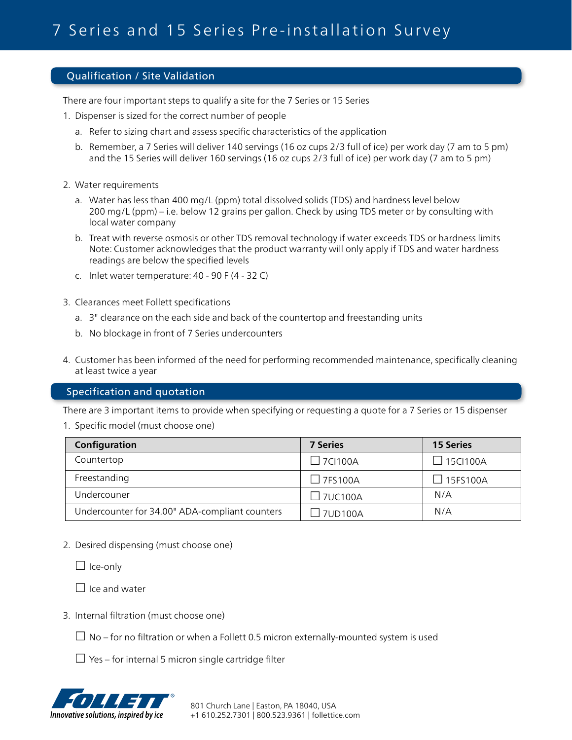## Qualification / Site Validation

There are four important steps to qualify a site for the 7 Series or 15 Series

- 1. Dispenser is sized for the correct number of people
	- a. Refer to sizing chart and assess specific characteristics of the application
	- b. Remember, a 7 Series will deliver 140 servings (16 oz cups 2/3 full of ice) per work day (7 am to 5 pm) and the 15 Series will deliver 160 servings (16 oz cups 2/3 full of ice) per work day (7 am to 5 pm)
- 2. Water requirements
	- a. Water has less than 400 mg/L (ppm) total dissolved solids (TDS) and hardness level below 200 mg/L (ppm) – i.e. below 12 grains per gallon. Check by using TDS meter or by consulting with local water company
	- b. Treat with reverse osmosis or other TDS removal technology if water exceeds TDS or hardness limits Note: Customer acknowledges that the product warranty will only apply if TDS and water hardness readings are below the specified levels
	- c. Inlet water temperature: 40 90 F (4 32 C)
- 3. Clearances meet Follett specifications
	- a. 3" clearance on the each side and back of the countertop and freestanding units
	- b. No blockage in front of 7 Series undercounters
- 4. Customer has been informed of the need for performing recommended maintenance, specifically cleaning at least twice a year

## Specification and quotation

There are 3 important items to provide when specifying or requesting a quote for a 7 Series or 15 dispenser

1. Specific model (must choose one)

| Configuration                                  | <b>7 Series</b> | <b>15 Series</b> |
|------------------------------------------------|-----------------|------------------|
| Countertop                                     | $\Box$ 7CI100A  | $\Box$ 15Cl100A  |
| Freestanding                                   | $\Box$ 7FS100A  | $\Box$ 15FS100A  |
| Undercouner                                    | $\Box$ 7UC100A  | N/A              |
| Undercounter for 34.00" ADA-compliant counters | 7UD100A         | N/A              |

2. Desired dispensing (must choose one)

 $\Box$  Ice-only

 $\Box$  Ice and water

3. Internal filtration (must choose one)

 $\Box$  No – for no filtration or when a Follett 0.5 micron externally-mounted system is used

 $\Box$  Yes – for internal 5 micron single cartridge filter